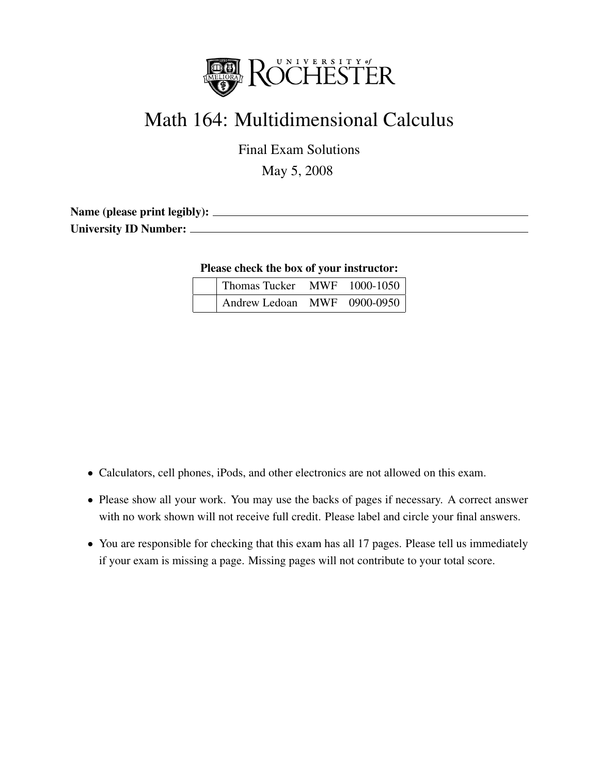

# Math 164: Multidimensional Calculus

Final Exam Solutions

May 5, 2008

Name (please print legibly): University ID Number:

Please check the box of your instructor:

| Thomas Tucker MWF 1000-1050 |  |
|-----------------------------|--|
| Andrew Ledoan MWF 0900-0950 |  |

- Calculators, cell phones, iPods, and other electronics are not allowed on this exam.
- Please show all your work. You may use the backs of pages if necessary. A correct answer with no work shown will not receive full credit. Please label and circle your final answers.
- You are responsible for checking that this exam has all 17 pages. Please tell us immediately if your exam is missing a page. Missing pages will not contribute to your total score.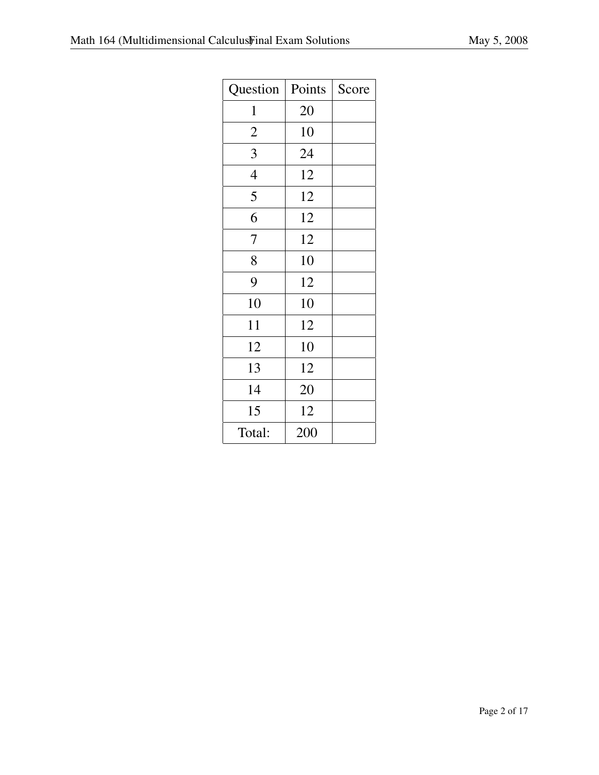| Question       | Points | Score |
|----------------|--------|-------|
| $\mathbf 1$    | 20     |       |
| $\overline{2}$ | 10     |       |
| 3              | 24     |       |
| $\overline{4}$ | 12     |       |
| 5              | 12     |       |
| 6              | 12     |       |
| 7              | 12     |       |
| 8              | 10     |       |
| 9              | 12     |       |
| 10             | 10     |       |
| 11             | 12     |       |
| 12             | 10     |       |
| 13             | 12     |       |
| 14             | 20     |       |
| 15             | 12     |       |
| Total:         | 200    |       |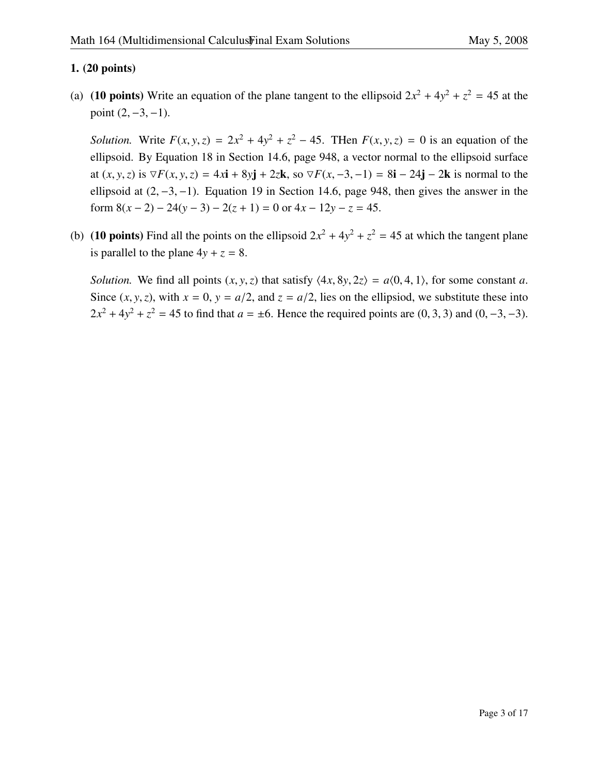## 1. (20 points)

(a) (10 points) Write an equation of the plane tangent to the ellipsoid  $2x^2 + 4y^2 + z^2 = 45$  at the point  $(2, -3, -1)$ .

*Solution.* Write  $F(x, y, z) = 2x^2 + 4y^2 + z^2 - 45$ . Then  $F(x, y, z) = 0$  is an equation of the ellipse identity at the ellipse identity of the ellipsoid. By Equation 18 in Section 14.6, page 948, a vector normal to the ellipsoid surface at  $(x, y, z)$  is  $∇F(x, y, z) = 4x**i** + 8y**j** + 2z**k**$ , so  $∇F(x, -3, -1) = 8**i** – 24**j** – 2**k**$  is normal to the ellipsoid at  $(2, -3, -1)$ . Equation 19 in Section 14.6, page 948, then gives the answer in the form  $8(x-2) - 24(y-3) - 2(z+1) = 0$  or  $4x - 12y - z = 45$ .

(b) (10 points) Find all the points on the ellipsoid  $2x^2 + 4y^2 + z^2 = 45$  at which the tangent plane is parallel to the plane  $4y + z = 8$ .

*Solution.* We find all points  $(x, y, z)$  that satisfy  $\langle 4x, 8y, 2z \rangle = a(0, 4, 1)$ , for some constant *a*. Since  $(x, y, z)$ , with  $x = 0$ ,  $y = a/2$ , and  $z = a/2$ , lies on the ellipsiod, we substitute these into  $2x^2 + 4y^2 + z^2 = 45$  to find that  $a = \pm 6$ . Hence the required points are (0, 3, 3) and (0, -3, -3).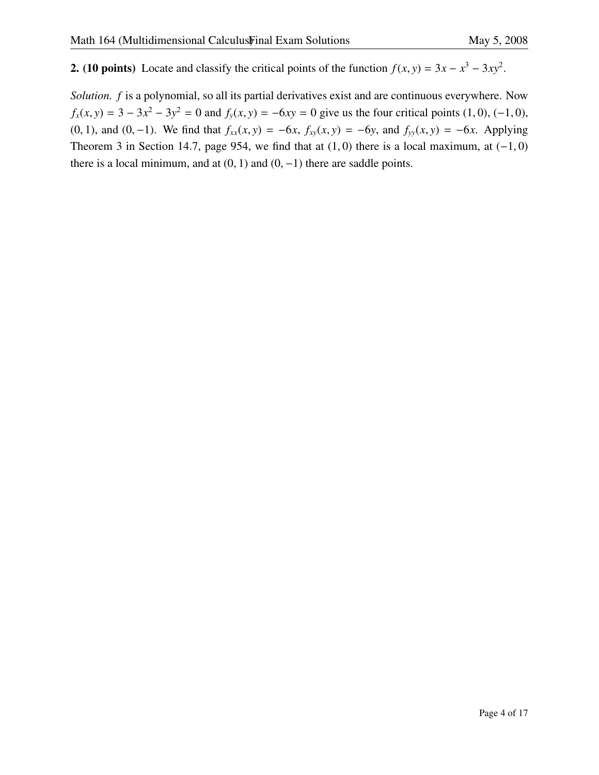**2.** (10 points) Locate and classify the critical points of the function  $f(x, y) = 3x - x^3 - 3xy^2$ .

*Solution. f* is a polynomial, so all its partial derivatives exist and are continuous everywhere. Now  $f_x(x, y) = 3 - 3x^2 - 3y^2 = 0$  and  $f_y(x, y) = -6xy = 0$  give us the four critical points (1, 0), (−1, 0), (0, 1), and (0, 1), We find that  $f_y(x, y) = f_y(x) - f_y(x)$ (0, 1), and (0,−1). We find that  $f_{xx}(x, y) = -6x$ ,  $f_{xy}(x, y) = -6y$ , and  $f_{yy}(x, y) = -6x$ . Applying Theorem 3 in Section 14.7, page 954, we find that at  $(1, 0)$  there is a local maximum, at  $(-1, 0)$ there is a local minimum, and at  $(0, 1)$  and  $(0, -1)$  there are saddle points.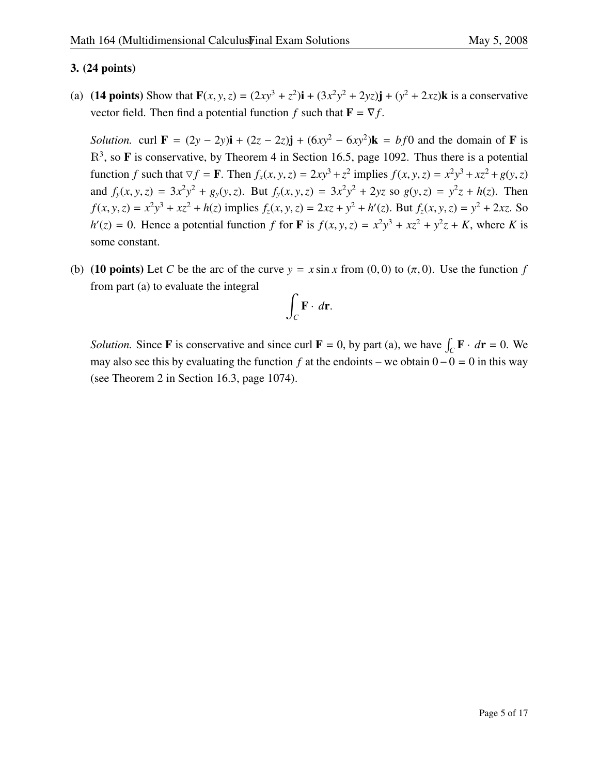## 3. (24 points)

(a) (14 points) Show that  $\mathbf{F}(x, y, z) = (2xy^3 + z^2)\mathbf{i} + (3x^2y^2 + 2yz)\mathbf{j} + (y^2 + 2xz)\mathbf{k}$  is a conservative vector field. Then find a potential function *f* such that  $\mathbf{F} = \nabla f$ .

*Solution.* curl  $\mathbf{F} = (2y - 2y)\mathbf{i} + (2z - 2z)\mathbf{j} + (6xy^2 - 6xy^2)\mathbf{k} = bf0$  and the domain of **F** is  $\mathbb{R}^3$ , so **F** is conservative, by Theorem 4 in Section 16.5, page 1092. Thus there is a potential function f such that  $\nabla f = \mathbf{F}$ . Then  $f_x(x, y, z) = 2xy^3 + z^2$  implies  $f(x, y, z) = x^2y^3 + xz^2 + g(y, z)$ and  $f_y(x, y, z) = 3x^2y^2 + g_y(y, z)$ . But  $f_y(x, y, z) = 3x^2y^2 + 2yz$  so  $g(y, z) = y^2z + h(z)$ . Then  $f(x, y, z) = x^2y^3 + xz^2 + h(z)$  implies  $f_z(x, y, z) = 2xz + y^2 + h'(z)$ . But  $f_z(x, y, z) = y^2 + 2xz$ . So  $h'(z) = 0$ . Hence a potential function *f* for **F** is  $f(x, y, z) = x^2y^3 + xz^2 + y^2z + K$ , where *K* is some constant.

(b) (10 points) Let *C* be the arc of the curve  $y = x \sin x$  from (0, 0) to  $(\pi, 0)$ . Use the function *f* from part (a) to evaluate the integral

$$
\int_C \mathbf{F} \cdot d\mathbf{r}.
$$

*Solution.* Since **F** is conservative and since curl **F** = 0, by part (a), we have  $\int_C \mathbf{F} \cdot d\mathbf{r} = 0$ . We may also see this by evaluating the function *f* at the endoints – we obtain 0−0 = 0 in this way (see Theorem 2 in Section 16.3, page 1074).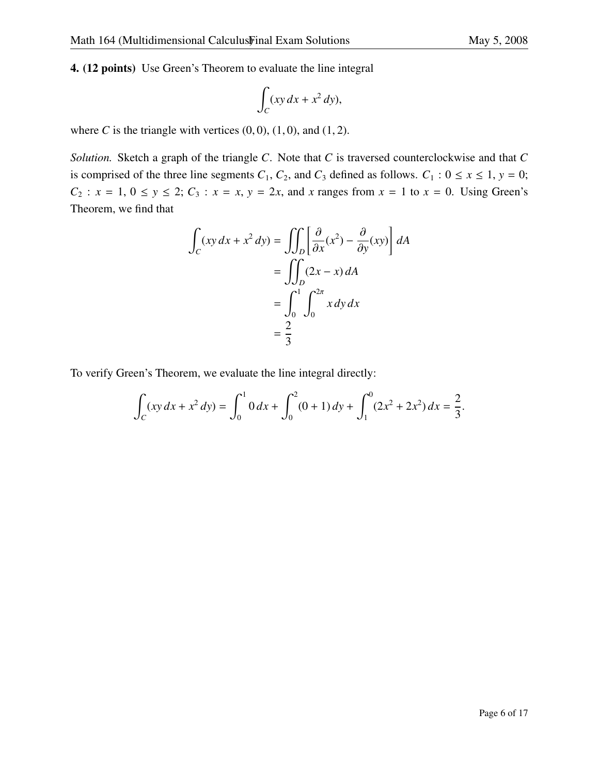4. (12 points) Use Green's Theorem to evaluate the line integral

$$
\int_C (xy\,dx + x^2\,dy),
$$

where *C* is the triangle with vertices  $(0, 0)$ ,  $(1, 0)$ , and  $(1, 2)$ .

*Solution.* Sketch a graph of the triangle *C*. Note that *C* is traversed counterclockwise and that *C* is comprised of the three line segments  $C_1$ ,  $C_2$ , and  $C_3$  defined as follows.  $C_1$  :  $0 \le x \le 1$ ,  $y = 0$ ;  $C_2$ :  $x = 1, 0 \le y \le 2$ ;  $C_3$ :  $x = x, y = 2x$ , and *x* ranges from  $x = 1$  to  $x = 0$ . Using Green's Theorem, we find that

$$
\int_C (xy \, dx + x^2 \, dy) = \iint_D \left[ \frac{\partial}{\partial x} (x^2) - \frac{\partial}{\partial y} (xy) \right] dA
$$

$$
= \iint_D (2x - x) \, dA
$$

$$
= \int_0^1 \int_0^{2\pi} x \, dy \, dx
$$

$$
= \frac{2}{3}
$$

To verify Green's Theorem, we evaluate the line integral directly:

$$
\int_C (xy\,dx + x^2\,dy) = \int_0^1 0\,dx + \int_0^2 (0+1)\,dy + \int_1^0 (2x^2 + 2x^2)\,dx = \frac{2}{3}.
$$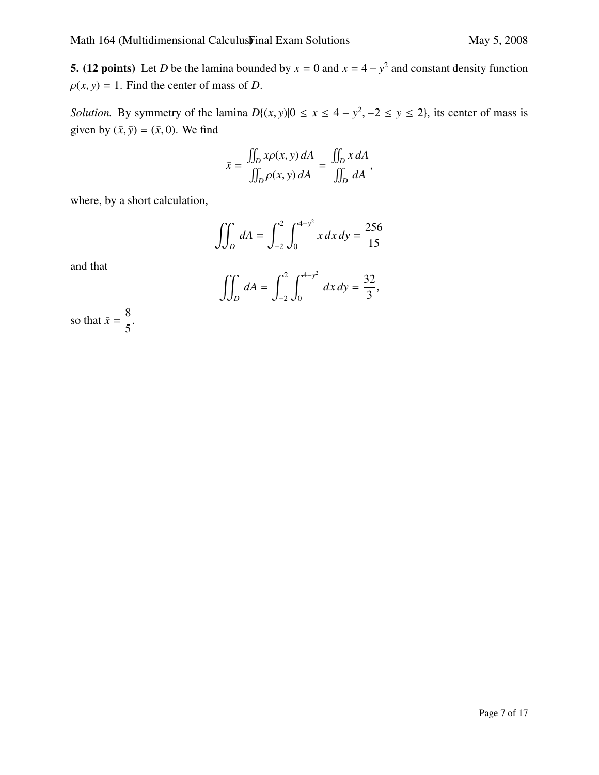**5.** (12 points) Let *D* be the lamina bounded by  $x = 0$  and  $x = 4 - y^2$  and constant density function  $\rho(x, y) = 1$ . Find the center of mass of *D*.

*Solution.* By symmetry of the lamina  $D\{(x, y)|0 \le x \le 4 - y^2, -2 \le y \le 2\}$ , its center of mass is since  $\log(5.5)$  (5.0). We find given by  $(\bar{x}, \bar{y}) = (\bar{x}, 0)$ . We find

$$
\bar{x} = \frac{\iint_D x \rho(x, y) dA}{\iint_D \rho(x, y) dA} = \frac{\iint_D x dA}{\iint_D dA},
$$

where, by a short calculation,

$$
\iint_D dA = \int_{-2}^2 \int_0^{4-y^2} x \, dx \, dy = \frac{256}{15}
$$

and that

$$
\iint_D dA = \int_{-2}^2 \int_0^{4-y^2} dx dy = \frac{32}{3},
$$

so that  $\bar{x} = \frac{8}{5}$ 5 .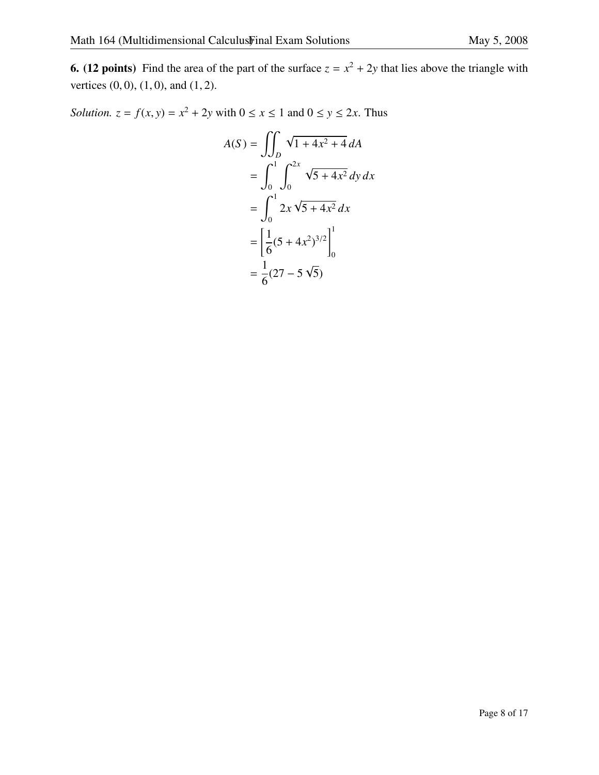**6.** (12 points) Find the area of the part of the surface  $z = x^2 + 2y$  that lies above the triangle with vertices  $(0, 0)$ ,  $(1, 0)$ , and  $(1, 2)$ .

*Solution.*  $z = f(x, y) = x^2 + 2y$  with  $0 \le x \le 1$  and  $0 \le y \le 2x$ . Thus

$$
A(S) = \iint_D \sqrt{1 + 4x^2 + 4} \, dA
$$
  
= 
$$
\int_0^1 \int_0^{2x} \sqrt{5 + 4x^2} \, dy \, dx
$$
  
= 
$$
\int_0^1 2x \sqrt{5 + 4x^2} \, dx
$$
  
= 
$$
\left[ \frac{1}{6} (5 + 4x^2)^{3/2} \right]_0^1
$$
  
= 
$$
\frac{1}{6} (27 - 5 \sqrt{5})
$$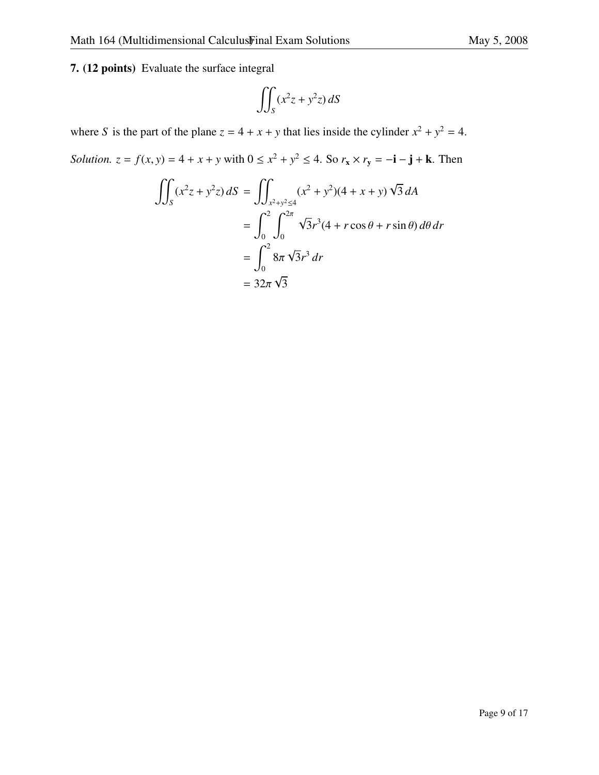$$
\iint_S (x^2 z + y^2 z) dS
$$

where *S* is the part of the plane  $z = 4 + x + y$  that lies inside the cylinder  $x^2 + y^2 = 4$ .

*Solution.*  $z = f(x, y) = 4 + x + y$  with  $0 \le x^2 + y^2 \le 4$ . So  $r_x \times r_y = -i - j + k$ . Then

$$
\iint_{S} (x^{2}z + y^{2}z) dS = \iint_{x^{2}+y^{2} \le 4} (x^{2} + y^{2})(4 + x + y) \sqrt{3} dA
$$
  
= 
$$
\int_{0}^{2} \int_{0}^{2\pi} \sqrt{3} r^{3}(4 + r \cos \theta + r \sin \theta) d\theta dr
$$
  
= 
$$
\int_{0}^{2} 8\pi \sqrt{3} r^{3} dr
$$
  
= 
$$
32\pi \sqrt{3}
$$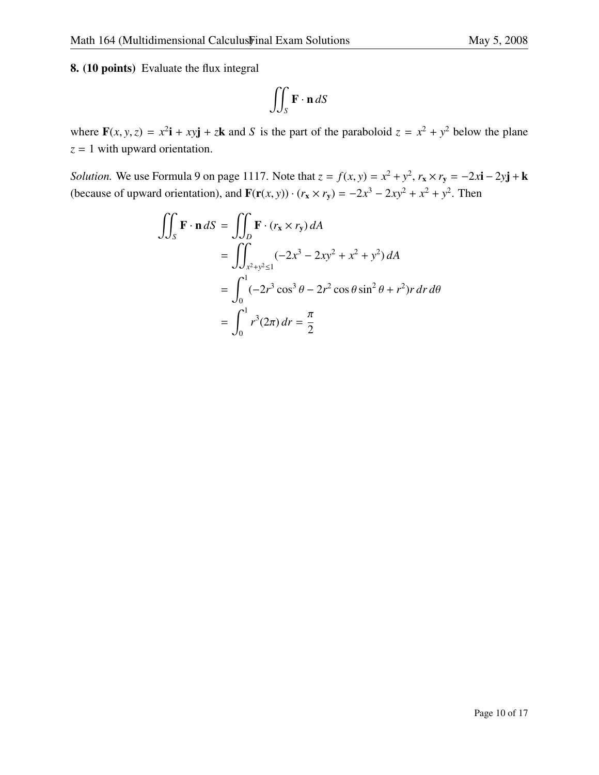8. (10 points) Evaluate the flux integral

$$
\iint_{S} \mathbf{F} \cdot \mathbf{n} \, dS
$$

where  $\mathbf{F}(x, y, z) = x^2 \mathbf{i} + xy \mathbf{j} + z \mathbf{k}$  and *S* is the part of the paraboloid  $z = x^2 + y^2$  below the plane *z* = 1 with upward orientation.

*Solution.* We use Formula 9 on page 1117. Note that  $z = f(x, y) = x^2 + y^2$ ,  $r_x \times r_y = -2x$ **i** − 2*y***j** + **k** (because of upward orientation), and  $\mathbf{F}(\mathbf{r}(x, y)) \cdot (r_x \times r_y) = -2x^3 - 2xy^2 + x^2 + y^2$ . Then

$$
\iint_{S} \mathbf{F} \cdot \mathbf{n} \, dS = \iint_{D} \mathbf{F} \cdot (r_{x} \times r_{y}) \, dA
$$
  
= 
$$
\iint_{x^{2}+y^{2} \leq 1} (-2x^{3} - 2xy^{2} + x^{2} + y^{2}) \, dA
$$
  
= 
$$
\int_{0}^{1} (-2r^{3} \cos^{3} \theta - 2r^{2} \cos \theta \sin^{2} \theta + r^{2}) r \, dr \, d\theta
$$
  
= 
$$
\int_{0}^{1} r^{3} (2\pi) \, dr = \frac{\pi}{2}
$$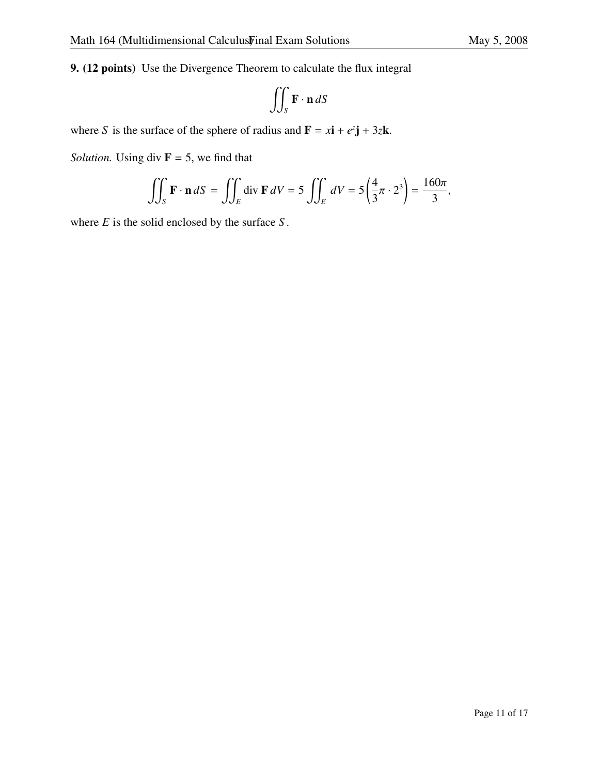9. (12 points) Use the Divergence Theorem to calculate the flux integral

$$
\iint_{S} \mathbf{F} \cdot \mathbf{n} \, dS
$$

where *S* is the surface of the sphere of radius and  $\mathbf{F} = x\mathbf{i} + e^z\mathbf{j} + 3z\mathbf{k}$ .

*Solution.* Using div  $\mathbf{F} = 5$ , we find that

$$
\iint_{S} \mathbf{F} \cdot \mathbf{n} \, dS = \iint_{E} \text{div } \mathbf{F} \, dV = 5 \iint_{E} dV = 5 \left( \frac{4}{3} \pi \cdot 2^{3} \right) = \frac{160 \pi}{3},
$$

where *E* is the solid enclosed by the surface *S* .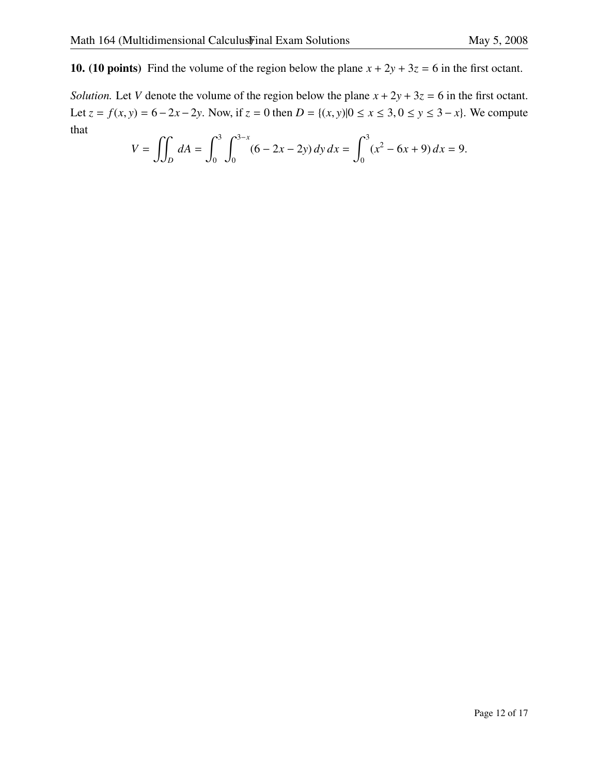10. (10 points) Find the volume of the region below the plane  $x + 2y + 3z = 6$  in the first octant.

*Solution.* Let *V* denote the volume of the region below the plane  $x + 2y + 3z = 6$  in the first octant. Let *z* = *f*(*x*, *y*) = 6−2*x*−2*y*. Now, if *z* = 0 then *D* = {(*x*, *y*)|0 ≤ *x* ≤ 3, 0 ≤ *y* ≤ 3−*x*}. We compute that

$$
V = \iint_D dA = \int_0^3 \int_0^{3-x} (6 - 2x - 2y) \, dy \, dx = \int_0^3 (x^2 - 6x + 9) \, dx = 9.
$$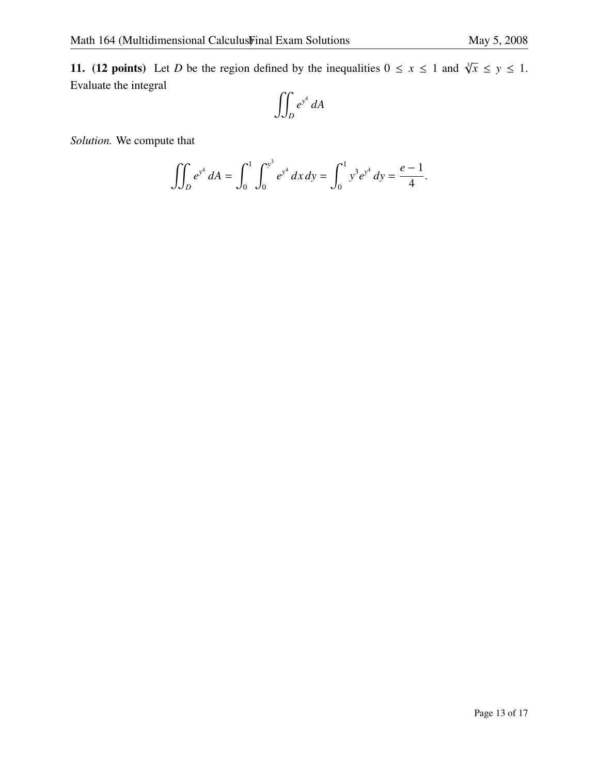11. (12 points) Let *D* be the region defined by the inequalities  $0 \le x \le 1$  and  $\sqrt[3]{x} \le y \le 1$ . Evaluate the integral

$$
\iint_D e^{y^4} dA
$$

*Solution.* We compute that

$$
\iint_D e^{y^4} dA = \int_0^1 \int_0^{y^3} e^{y^4} dx dy = \int_0^1 y^3 e^{y^4} dy = \frac{e-1}{4}.
$$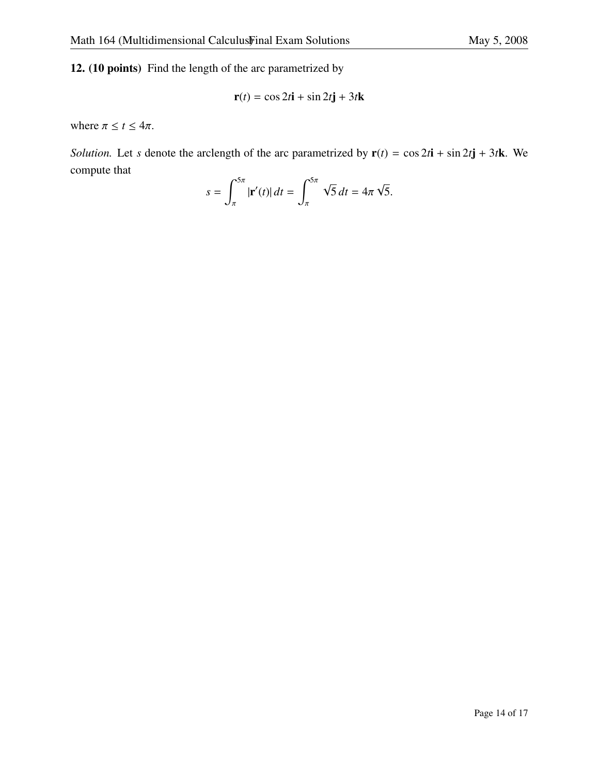12. (10 points) Find the length of the arc parametrized by

$$
\mathbf{r}(t) = \cos 2t \mathbf{i} + \sin 2t \mathbf{j} + 3t \mathbf{k}
$$

where  $\pi \le t \le 4\pi$ .

*Solution.* Let *s* denote the arclength of the arc parametrized by  $\mathbf{r}(t) = \cos 2t\mathbf{i} + \sin 2t\mathbf{j} + 3t\mathbf{k}$ . We compute that

$$
s = \int_{\pi}^{5\pi} |\mathbf{r}'(t)| dt = \int_{\pi}^{5\pi} \sqrt{5} dt = 4\pi \sqrt{5}.
$$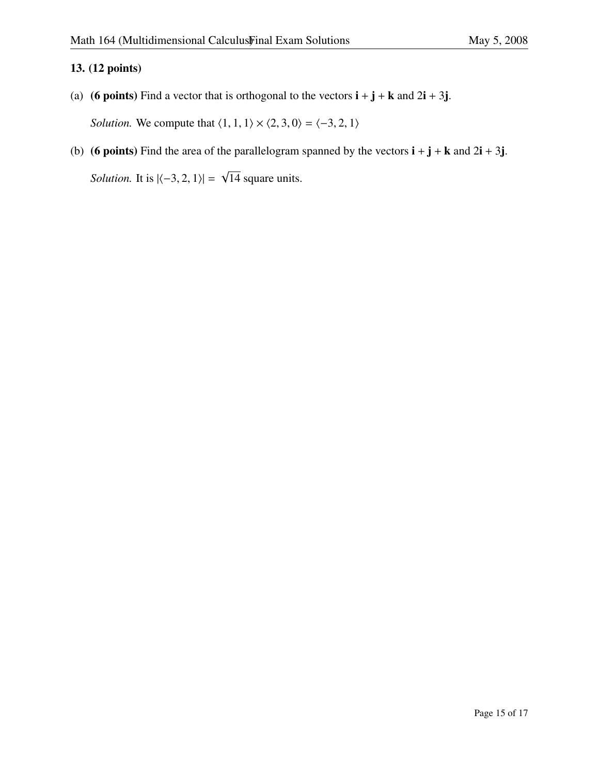#### 13. (12 points)

- (a) (6 points) Find a vector that is orthogonal to the vectors  $\mathbf{i} + \mathbf{j} + \mathbf{k}$  and  $2\mathbf{i} + 3\mathbf{j}$ . *Solution.* We compute that  $\langle 1, 1, 1 \rangle \times \langle 2, 3, 0 \rangle = \langle -3, 2, 1 \rangle$
- (b) (6 points) Find the area of the parallelogram spanned by the vectors  $\mathbf{i} + \mathbf{j} + \mathbf{k}$  and  $2\mathbf{i} + 3\mathbf{j}$ . *Solution.* It is  $|\langle -3, 2, 1 \rangle|$  = √ 14 square units.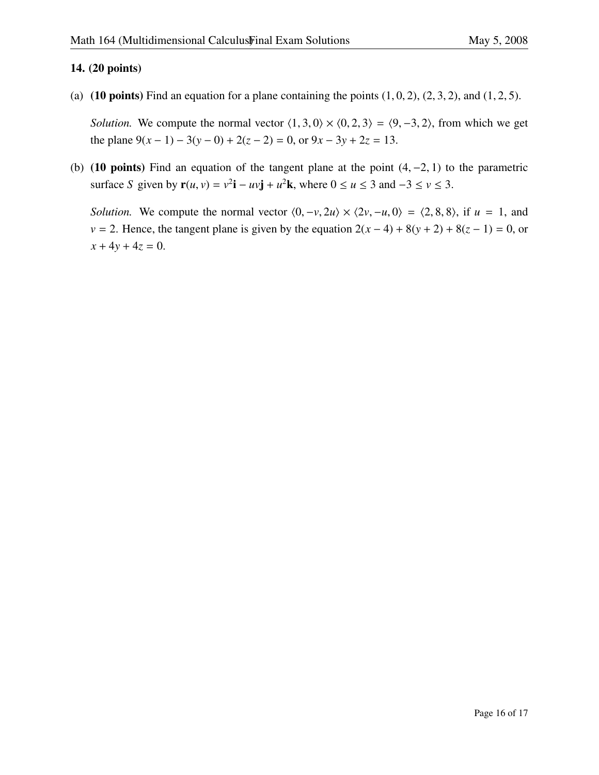#### 14. (20 points)

(a) (10 points) Find an equation for a plane containing the points  $(1, 0, 2)$ ,  $(2, 3, 2)$ , and  $(1, 2, 5)$ .

*Solution.* We compute the normal vector  $\langle 1, 3, 0 \rangle \times \langle 0, 2, 3 \rangle = \langle 9, -3, 2 \rangle$ , from which we get the plane  $9(x-1) - 3(y-0) + 2(z-2) = 0$ , or  $9x - 3y + 2z = 13$ .

(b) (10 points) Find an equation of the tangent plane at the point  $(4, -2, 1)$  to the parametric surface *S* given by  $\mathbf{r}(u, v) = v^2 \mathbf{i} - uv \mathbf{j} + u^2 \mathbf{k}$ , where  $0 \le u \le 3$  and  $-3 \le v \le 3$ .

*Solution.* We compute the normal vector  $\langle 0, -v, 2u \rangle \times \langle 2v, -u, 0 \rangle = \langle 2, 8, 8 \rangle$ , if  $u = 1$ , and *v* = 2. Hence, the tangent plane is given by the equation  $2(x-4) + 8(y+2) + 8(z-1) = 0$ , or  $x + 4y + 4z = 0$ .